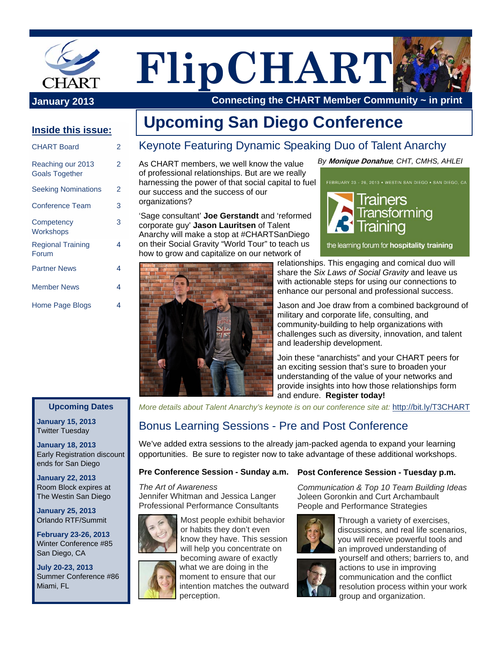

# **FlipCHART**

 **Connecting the CHART Member Community ~ in print**

### **Inside this issue:**

| <b>CHART Board</b>                         | 2 |
|--------------------------------------------|---|
| Reaching our 2013<br><b>Goals Together</b> | 2 |
| <b>Seeking Nominations</b>                 | 2 |
| <b>Conference Team</b>                     | 3 |
| Competency<br>Workshops                    | 3 |
| <b>Regional Training</b><br>Forum          | 4 |
| <b>Partner News</b>                        | 4 |
| <b>Member News</b>                         | 4 |
| Home Page Blogs                            | 4 |
|                                            |   |

### **Upcoming Dates**

**January 15, 2013**  Twitter Tuesday

**January 18, 2013**  Early Registration discount ends for San Diego

**January 22, 2013**  Room Block expires at The Westin San Diego

**January 25, 2013**  Orlando RTF/Summit

**February 23-26, 2013**  Winter Conference #85 San Diego, CA

**July 20-23, 2013**  Summer Conference #86 Miami, FL

### Keynote Featuring Dynamic Speaking Duo of Talent Anarchy  **Upcoming San Diego Conference**

As CHART members, we well know the value of professional relationships. But are we really harnessing the power of that social capital to fuel our success and the success of our organizations?

'Sage consultant' **Joe Gerstandt** and 'reformed corporate guy' **Jason Lauritsen** of Talent Anarchy will make a stop at #CHARTSanDiego on their Social Gravity "World Tour" to teach us how to grow and capitalize on our network of



*By* **Monique Donahue***, CHT, CMHS, AHLEI*



the learning forum for hospitality training

relationships. This engaging and comical duo will share the *Six Laws of Social Gravity* and leave us with actionable steps for using our connections to enhance our personal and professional success.

Jason and Joe draw from a combined background of military and corporate life, consulting, and community-building to help organizations with challenges such as diversity, innovation, and talent and leadership development.

Join these "anarchists" and your CHART peers for an exciting session that's sure to broaden your understanding of the value of your networks and provide insights into how those relationships form and endure. **Register today!**

*More details about Talent Anarchy's keynote is on our conference site at:* http://bit.ly/T3CHART

### Bonus Learning Sessions - Pre and Post Conference

We've added extra sessions to the already jam-packed agenda to expand your learning opportunities. Be sure to register now to take advantage of these additional workshops.

*The Art of Awareness*  Jennifer Whitman and Jessica Langer Professional Performance Consultants



Most people exhibit behavior or habits they don't even know they have. This session will help you concentrate on becoming aware of exactly what we are doing in the

moment to ensure that our intention matches the outward perception.

#### Pre Conference Session - Sunday a.m. Post Conference Session - Tuesday p.m.

*Communication & Top 10 Team Building Ideas*  Joleen Goronkin and Curt Archambault People and Performance Strategies



Through a variety of exercises, discussions, and real life scenarios, you will receive powerful tools and an improved understanding of



yourself and others; barriers to, and actions to use in improving communication and the conflict resolution process within your work group and organization.

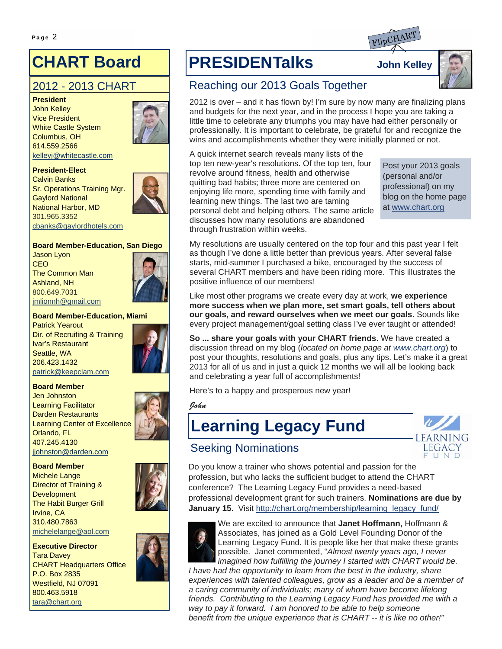### **CHART Board**

### 2012 - 2013 CHART

**President**  John Kelley Vice President White Castle System Columbus, OH 614.559.2566 kelleyj@whitecastle.com



#### **President-Elect**

Calvin Banks Sr. Operations Training Mgr. Gaylord National National Harbor, MD 301.965.3352 cbanks@gaylordhotels.com



Jason Lyon **CEO** The Common Man Ashland, NH 800.649.7031 jmlionnh@gmail.com



#### **Board Member-Education, Miami**

Patrick Yearout Dir. of Recruiting & Training Ivar's Restaurant Seattle, WA 206.423.1432 patrick@keepclam.com

#### **Board Member**

Jen Johnston Learning Facilitator Darden Restaurants Learning Center of Excellence Orlando, FL 407.245.4130 jjohnston@darden.com

#### **Board Member**

Michele Lange Director of Training & **Development** The Habit Burger Grill Irvine, CA 310.480.7863 michelelange@aol.com

#### **Executive Director**

Tara Davey CHART Headquarters Office P.O. Box 2835 Westfield, NJ 07091 800.463.5918 tara@chart.org



# Page 2 **Figure 2 Figure 2 Figure 2 Figure 2 Figure 2 Figure 2 Figure 2 Figure 2 Figure 2 Figure 2 Figure 2 Figure 2 Figure 2 Figure 2 Figure 2 Figure 2 Figure 2 Figure 2 Figure 2 Figur**



### Reaching our 2013 Goals Together

2012 is over – and it has flown by! I'm sure by now many are finalizing plans and budgets for the next year, and in the process I hope you are taking a little time to celebrate any triumphs you may have had either personally or professionally. It is important to celebrate, be grateful for and recognize the wins and accomplishments whether they were initially planned or not.

A quick internet search reveals many lists of the top ten new-year's resolutions. Of the top ten, four revolve around fitness, health and otherwise quitting bad habits; three more are centered on enjoying life more, spending time with family and learning new things. The last two are taming personal debt and helping others. The same article discusses how many resolutions are abandoned through frustration within weeks.

Post your 2013 goals (personal and/or professional) on my blog on the home page at www.chart.org

My resolutions are usually centered on the top four and this past year I felt as though I've done a little better than previous years. After several false starts, mid-summer I purchased a bike, encouraged by the success of several CHART members and have been riding more. This illustrates the positive influence of our members!

Like most other programs we create every day at work, **we experience more success when we plan more, set smart goals, tell others about our goals, and reward ourselves when we meet our goals**. Sounds like every project management/goal setting class I've ever taught or attended!

**So ... share your goals with your CHART friends**. We have created a discussion thread on my blog (*located on home page at www.chart.org*) to post your thoughts, resolutions and goals, plus any tips. Let's make it a great 2013 for all of us and in just a quick 12 months we will all be looking back and celebrating a year full of accomplishments!

Here's to a happy and prosperous new year!

John

### **Learning Legacy Fund**



### Seeking Nominations

Do you know a trainer who shows potential and passion for the profession, but who lacks the sufficient budget to attend the CHART conference? The Learning Legacy Fund provides a need-based professional development grant for such trainers. **Nominations are due by January 15.** Visit http://chart.org/membership/learning\_legacy\_fund/



We are excited to announce that **Janet Hoffmann,** Hoffmann & Associates, has joined as a Gold Level Founding Donor of the Learning Legacy Fund. It is people like her that make these grants possible. Janet commented, "*Almost twenty years ago, I never imagined how fulfilling the journey I started with CHART would be.* 

*I* have had the opportunity to learn from the best in the industry, share *experiences with talented colleagues, grow as a leader and be a member of a caring community of individuals; many of whom have become lifelong friends. Contributing to the Learning Legacy Fund has provided me with a way to pay it forward. I am honored to be able to help someone benefit from the unique experience that is CHART -- it is like no other!"*

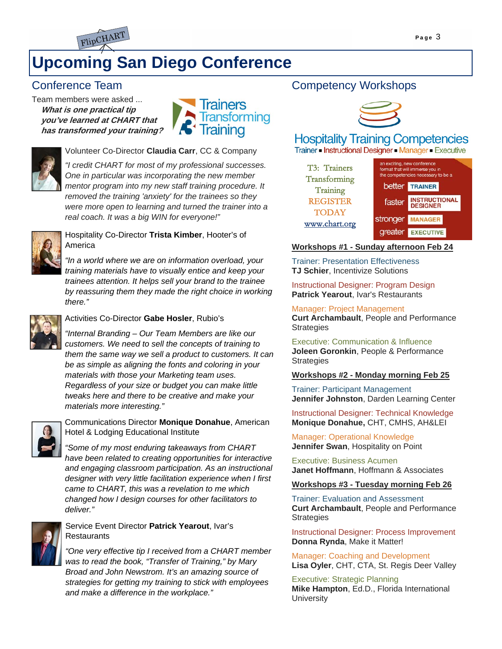



### **Upcoming San Diego Conference**

### Conference Team

Team members were asked ... **What is one practical tip you've learned at CHART that has transformed your training?**





Volunteer Co-Director **Claudia Carr**, CC & Company

*"I credit CHART for most of my professional successes. One in particular was incorporating the new member mentor program into my new staff training procedure. It removed the training 'anxiety' for the trainees so they were more open to learning and turned the trainer into a real coach. It was a big WIN for everyone!"*



### Hospitality Co-Director **Trista Kimber**, Hooter's of America

*"In a world where we are on information overload, your training materials have to visually entice and keep your trainees attention. It helps sell your brand to the trainee by reassuring them they made the right choice in working there."* 



### Activities Co-Director **Gabe Hosler**, Rubio's

*"Internal Branding – Our Team Members are like our customers. We need to sell the concepts of training to them the same way we sell a product to customers. It can be as simple as aligning the fonts and coloring in your materials with those your Marketing team uses. Regardless of your size or budget you can make little tweaks here and there to be creative and make your materials more interesting."* 



Communications Director **Monique Donahue**, American Hotel & Lodging Educational Institute

*"Some of my most enduring takeaways from CHART have been related to creating opportunities for interactive and engaging classroom participation. As an instructional designer with very little facilitation experience when I first came to CHART, this was a revelation to me which changed how I design courses for other facilitators to deliver."* 



### Service Event Director **Patrick Yearout**, Ivar's **Restaurants**

*"One very effective tip I received from a CHART member was to read the book, "Transfer of Training," by Mary Broad and John Newstrom. It's an amazing source of strategies for getting my training to stick with employees and make a difference in the workplace."* 

### Competency Workshops



### **Hospitality Training Competencies**

Trainer - Instructional Designer - Manager - Executive

| T3: Trainers<br>Transforming  |          | an exciting, new conference<br>format that will immerse you in<br>the competencies necessary to be a |  |  |
|-------------------------------|----------|------------------------------------------------------------------------------------------------------|--|--|
| Training                      |          | <b>better</b> TRAINER                                                                                |  |  |
| <b>REGISTER</b>               | faster   | <b>INSTRUCTIONAL</b><br><b>DESIGNER</b>                                                              |  |  |
| <b>TODAY</b><br>www.chart.org | stronger | <b>MANAGER</b>                                                                                       |  |  |
|                               | areater  | <b>EXECUTIVE</b>                                                                                     |  |  |

### **Workshops #1 - Sunday afternoon Feb 24**

Trainer: Presentation Effectiveness **TJ Schier**, Incentivize Solutions

Instructional Designer: Program Design **Patrick Yearout**, Ivar's Restaurants

Manager: Project Management **Curt Archambault**, People and Performance **Strategies** 

Executive: Communication & Influence **Joleen Goronkin**, People & Performance **Strategies** 

### **Workshops #2 - Monday morning Feb 25**

Trainer: Participant Management **Jennifer Johnston**, Darden Learning Center

Instructional Designer: Technical Knowledge **Monique Donahue,** CHT, CMHS, AH&LEI

Manager: Operational Knowledge **Jennifer Swan**, Hospitality on Point

Executive: Business Acumen **Janet Hoffmann**, Hoffmann & Associates

#### **Workshops #3 - Tuesday morning Feb 26**

Trainer: Evaluation and Assessment **Curt Archambault**, People and Performance **Strategies** 

Instructional Designer: Process Improvement **Donna Rynda**, Make it Matter!

Manager: Coaching and Development **Lisa Oyler**, CHT, CTA, St. Regis Deer Valley

Executive: Strategic Planning **Mike Hampton**, Ed.D., Florida International **University**